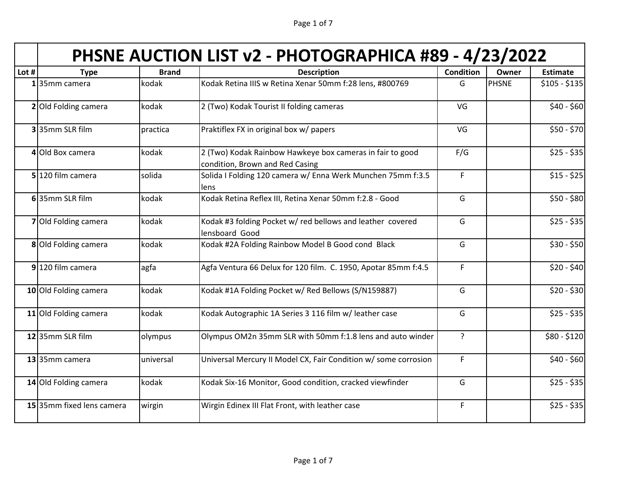| Page 1 of 7 |  |
|-------------|--|
|-------------|--|

| PHSNE AUCTION LIST v2 - PHOTOGRAPHICA #89 - 4/23/2022 |  |
|-------------------------------------------------------|--|
|                                                       |  |

| Lot $#$ | <b>Type</b>               | <b>Brand</b> | <b>Description</b>                                                                           | <b>Condition</b> | Owner        | <b>Estimate</b> |
|---------|---------------------------|--------------|----------------------------------------------------------------------------------------------|------------------|--------------|-----------------|
|         | 135mm camera              | kodak        | Kodak Retina IIIS w Retina Xenar 50mm f:28 lens, #800769                                     | G                | <b>PHSNE</b> | $$105 - $135$   |
|         | 2 Old Folding camera      | kodak        | 2 (Two) Kodak Tourist II folding cameras                                                     | VG               |              | $$40 - $60$     |
|         | 335mm SLR film            | practica     | Praktiflex FX in original box w/ papers                                                      | VG               |              | \$50 - \$70     |
|         | 4 Old Box camera          | kodak        | 2 (Two) Kodak Rainbow Hawkeye box cameras in fair to good<br>condition, Brown and Red Casing | F/G              |              | $$25 - $35$     |
|         | 5 120 film camera         | solida       | Solida I Folding 120 camera w/ Enna Werk Munchen 75mm f:3.5<br>lens                          | $\mathsf F$      |              | $$15 - $25$     |
|         | 635mm SLR film            | kodak        | Kodak Retina Reflex III, Retina Xenar 50mm f:2.8 - Good                                      | G                |              | $$50 - $80$     |
|         | 7 Old Folding camera      | kodak        | Kodak #3 folding Pocket w/ red bellows and leather covered<br>lensboard Good                 | G                |              | $$25 - $35$     |
|         | 8 Old Folding camera      | kodak        | Kodak #2A Folding Rainbow Model B Good cond Black                                            | G                |              | $$30 - $50$     |
|         | 9 120 film camera         | agfa         | Agfa Ventura 66 Delux for 120 film. C. 1950, Apotar 85mm f:4.5                               | $\mathsf F$      |              | \$20 - \$40     |
|         | 10 Old Folding camera     | kodak        | Kodak #1A Folding Pocket w/ Red Bellows (S/N159887)                                          | G                |              | $$20 - $30$     |
|         | 11 Old Folding camera     | kodak        | Kodak Autographic 1A Series 3 116 film w/ leather case                                       | G                |              | $$25 - $35$     |
|         | 1235mm SLR film           | olympus      | Olympus OM2n 35mm SLR with 50mm f:1.8 lens and auto winder                                   | $\overline{?}$   |              | \$80 - \$120    |
|         | 13 35mm camera            | universal    | Universal Mercury II Model CX, Fair Condition w/ some corrosion                              | F                |              | $$40 - $60$     |
|         | 14 Old Folding camera     | kodak        | Kodak Six-16 Monitor, Good condition, cracked viewfinder                                     | G                |              | $$25 - $35$     |
|         | 15 35mm fixed lens camera | wirgin       | Wirgin Edinex III Flat Front, with leather case                                              | $\mathsf F$      |              | $$25 - $35$     |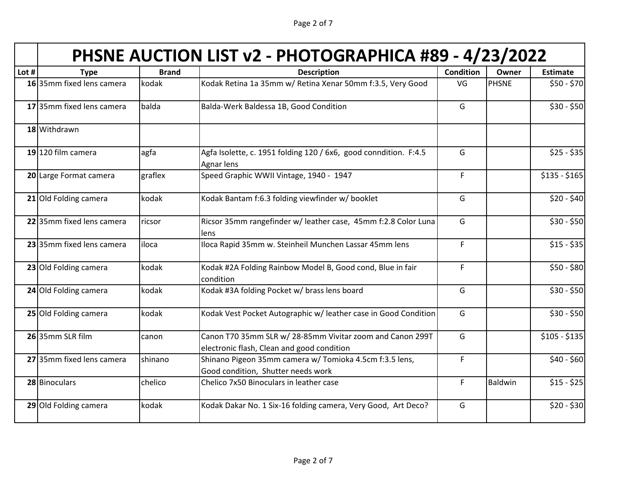Page 2 of 7

## **PHSNE AUCTION LIST v2 - PHOTOGRAPHICA #89 - 4/23/2022**

| Lot # | <b>Type</b>               | <b>Brand</b> | <b>Description</b>                                                                                      | <b>Condition</b> | Owner        | <b>Estimate</b> |
|-------|---------------------------|--------------|---------------------------------------------------------------------------------------------------------|------------------|--------------|-----------------|
|       | 16 35mm fixed lens camera | kodak        | Kodak Retina 1a 35mm w/ Retina Xenar 50mm f:3.5, Very Good                                              | VG               | <b>PHSNE</b> | $$50 - $70$     |
|       | 17 35mm fixed lens camera | balda        | Balda-Werk Baldessa 1B, Good Condition                                                                  | G                |              | $$30 - $50$     |
|       | 18 Withdrawn              |              |                                                                                                         |                  |              |                 |
|       | 19 120 film camera        | agfa         | Agfa Isolette, c. 1951 folding 120 / 6x6, good conndition. F:4.5<br>Agnar lens                          | G                |              | $$25 - $35$     |
|       | 20 Large Format camera    | graflex      | Speed Graphic WWII Vintage, 1940 - 1947                                                                 | $\mathsf F$      |              | $$135 - $165$   |
|       | 21 Old Folding camera     | kodak        | Kodak Bantam f:6.3 folding viewfinder w/ booklet                                                        | G                |              | $$20 - $40$     |
|       | 22 35mm fixed lens camera | ricsor       | Ricsor 35mm rangefinder w/ leather case, 45mm f:2.8 Color Luna<br>lens                                  | G                |              | $$30 - $50$     |
|       | 23 35mm fixed lens camera | iloca        | Iloca Rapid 35mm w. Steinheil Munchen Lassar 45mm lens                                                  | $\mathsf F$      |              | $$15 - $35$     |
|       | 23 Old Folding camera     | kodak        | Kodak #2A Folding Rainbow Model B, Good cond, Blue in fair<br>condition                                 | F                |              | \$50 - \$80     |
|       | 24 Old Folding camera     | kodak        | Kodak #3A folding Pocket w/ brass lens board                                                            | G                |              | \$30 - \$50     |
|       | 25 Old Folding camera     | kodak        | Kodak Vest Pocket Autographic w/ leather case in Good Condition                                         | G                |              | $$30 - $50$     |
|       | 26 35mm SLR film          | canon        | Canon T70 35mm SLR w/ 28-85mm Vivitar zoom and Canon 299T<br>electronic flash, Clean and good condition | G                |              | $$105 - $135$   |
|       | 27 35mm fixed lens camera | shinano      | Shinano Pigeon 35mm camera w/ Tomioka 4.5cm f:3.5 lens,<br>Good condition, Shutter needs work           | $\mathsf F$      |              | $$40 - $60$     |
|       | 28 Binoculars             | chelico      | Chelico 7x50 Binoculars in leather case                                                                 | F                | Baldwin      | $$15 - $25$     |
|       | 29 Old Folding camera     | kodak        | Kodak Dakar No. 1 Six-16 folding camera, Very Good, Art Deco?                                           | G                |              | $$20 - $30$     |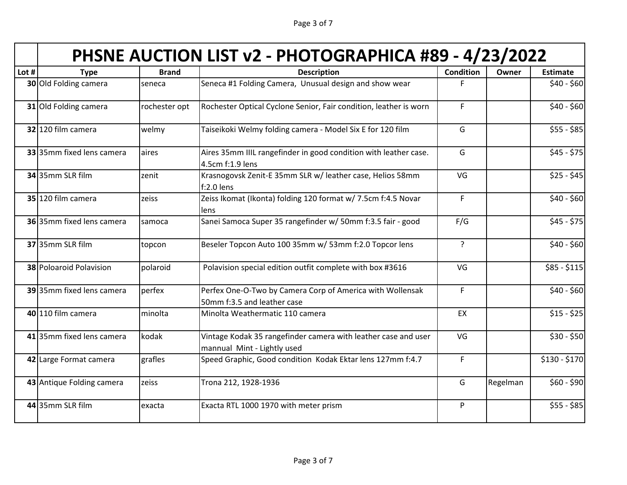Page 3 of 7

| Lot # | <b>Type</b>                    | <b>Brand</b>  | <b>Description</b>                                                                            | Condition      | Owner    | <b>Estimate</b> |
|-------|--------------------------------|---------------|-----------------------------------------------------------------------------------------------|----------------|----------|-----------------|
|       | 30 Old Folding camera          | seneca        | Seneca #1 Folding Camera, Unusual design and show wear                                        | F              |          | $$40 - $60$     |
|       | 31 Old Folding camera          | rochester opt | Rochester Optical Cyclone Senior, Fair condition, leather is worn                             | $\mathsf F$    |          | $$40 - $60$     |
|       | 32 120 film camera             | welmy         | Taiseikoki Welmy folding camera - Model Six E for 120 film                                    | G              |          | $$55 - $85$     |
|       | 33 35mm fixed lens camera      | aires         | Aires 35mm IIIL rangefinder in good condition with leather case.<br>4.5cm f:1.9 lens          | G              |          | $$45 - $75$     |
|       | 34 35mm SLR film               | zenit         | Krasnogovsk Zenit-E 35mm SLR w/ leather case, Helios 58mm<br>$f:2.0$ lens                     | VG             |          | $$25 - $45$     |
|       | 35 120 film camera             | zeiss         | Zeiss Ikomat (Ikonta) folding 120 format w/ 7.5cm f:4.5 Novar<br>lens                         | $\mathsf F$    |          | $$40 - $60$     |
|       | 36 35mm fixed lens camera      | samoca        | Sanei Samoca Super 35 rangefinder w/ 50mm f:3.5 fair - good                                   | F/G            |          | $$45 - $75$     |
|       | 37 35mm SLR film               | topcon        | Beseler Topcon Auto 100 35mm w/ 53mm f:2.0 Topcor lens                                        | $\overline{?}$ |          | $$40 - $60$     |
|       | <b>38 Poloaroid Polavision</b> | polaroid      | Polavision special edition outfit complete with box #3616                                     | VG             |          | $$85 - $115$    |
|       | 39 35mm fixed lens camera      | perfex        | Perfex One-O-Two by Camera Corp of America with Wollensak<br>50mm f:3.5 and leather case      | $\mathsf F$    |          | $$40 - $60$     |
|       | 40 110 film camera             | minolta       | Minolta Weathermatic 110 camera                                                               | EX             |          | $$15 - $25$     |
|       | 41 35mm fixed lens camera      | kodak         | Vintage Kodak 35 rangefinder camera with leather case and user<br>mannual Mint - Lightly used | VG             |          | $$30 - $50$     |
|       | 42 Large Format camera         | grafles       | Speed Graphic, Good condition Kodak Ektar lens 127mm f:4.7                                    | $\mathsf F$    |          | \$130 - \$170   |
|       | 43 Antique Folding camera      | zeiss         | Trona 212, 1928-1936                                                                          | G              | Regelman | $$60 - $90$     |
|       | 44 35mm SLR film               | exacta        | Exacta RTL 1000 1970 with meter prism                                                         | ${\sf P}$      |          | $$55 - $85$     |
|       |                                |               |                                                                                               |                |          |                 |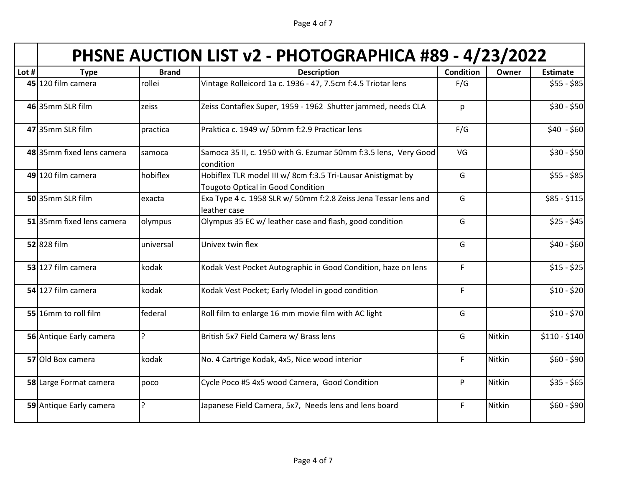| Page 4 of 7 |  |  |
|-------------|--|--|
|             |  |  |

|  | PHSNE AUCTION LIST v2 - PHOTOGRAPHICA #89 - 4/23/2022 |
|--|-------------------------------------------------------|
|--|-------------------------------------------------------|

| Lot # | <b>Type</b>               | <b>Brand</b> | <b>Description</b>                                                                                       | Condition   | Owner  | <b>Estimate</b> |
|-------|---------------------------|--------------|----------------------------------------------------------------------------------------------------------|-------------|--------|-----------------|
|       | 45 120 film camera        | rollei       | Vintage Rolleicord 1a c. 1936 - 47, 7.5cm f:4.5 Triotar lens                                             | F/G         |        | $$55 - $85$     |
|       | 46 35mm SLR film          | zeiss        | Zeiss Contaflex Super, 1959 - 1962 Shutter jammed, needs CLA                                             | p           |        | $$30 - $50$     |
|       | 47 35mm SLR film          | practica     | Praktica c. 1949 w/ 50mm f:2.9 Practicar lens                                                            | F/G         |        | $$40 - $60$     |
|       | 48 35mm fixed lens camera | samoca       | Samoca 35 II, c. 1950 with G. Ezumar 50mm f:3.5 lens, Very Good<br>condition                             | VG          |        | $$30 - $50$     |
|       | 49 120 film camera        | hobiflex     | Hobiflex TLR model III w/ 8cm f:3.5 Tri-Lausar Anistigmat by<br><b>Tougoto Optical in Good Condition</b> | G           |        | $$55 - $85$     |
|       | 5035mm SLR film           | exacta       | Exa Type 4 c. 1958 SLR w/ 50mm f:2.8 Zeiss Jena Tessar lens and<br>leather case                          | G           |        | $$85 - $115$    |
|       | 51 35mm fixed lens camera | olympus      | Olympus 35 EC w/ leather case and flash, good condition                                                  | G           |        | $$25 - $45$     |
|       | 52 828 film               | universal    | Univex twin flex                                                                                         | G           |        | $$40 - $60$     |
|       | 53 127 film camera        | kodak        | Kodak Vest Pocket Autographic in Good Condition, haze on lens                                            | $\mathsf F$ |        | $$15 - $25$     |
|       | 54 127 film camera        | kodak        | Kodak Vest Pocket; Early Model in good condition                                                         | $\mathsf F$ |        | $$10 - $20$     |
|       | 55 16mm to roll film      | federal      | Roll film to enlarge 16 mm movie film with AC light                                                      | G           |        | $$10 - $70$     |
|       | 56 Antique Early camera   | $\mathbf{r}$ | British 5x7 Field Camera w/ Brass lens                                                                   | G           | Nitkin | $$110 - $140$   |
|       | 57 Old Box camera         | kodak        | No. 4 Cartrige Kodak, 4x5, Nice wood interior                                                            | $\mathsf F$ | Nitkin | $$60 - $90$     |
|       | 58 Large Format camera    | poco         | Cycle Poco #5 4x5 wood Camera, Good Condition                                                            | P           | Nitkin | $$35 - $65$     |
|       | 59 Antique Early camera   | ?            | Japanese Field Camera, 5x7, Needs lens and lens board                                                    | $\mathsf F$ | Nitkin | $$60 - $90$     |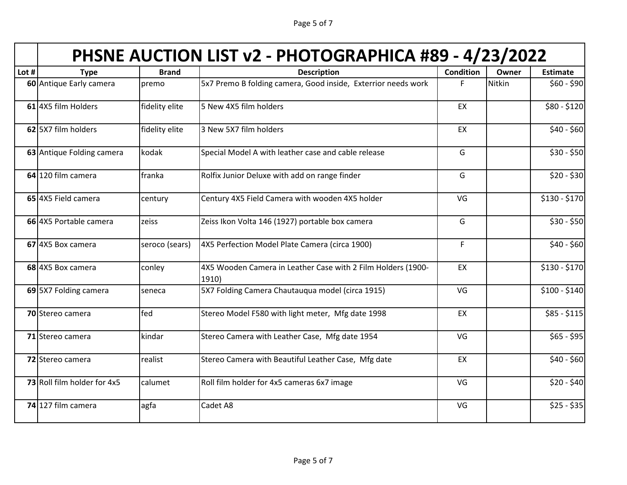Page 5 of 7

|  | PHSNE AUCTION LIST v2 - PHOTOGRAPHICA #89 - 4/23/2022 |
|--|-------------------------------------------------------|
|--|-------------------------------------------------------|

|                             | <b>Brand</b>   | <b>Description</b>                                                    | <b>Condition</b> | Owner  | <b>Estimate</b> |
|-----------------------------|----------------|-----------------------------------------------------------------------|------------------|--------|-----------------|
| 60 Antique Early camera     | premo          | 5x7 Premo B folding camera, Good inside, Exterrior needs work         | F                | Nitkin | $$60 - $90$     |
| 61 4X5 film Holders         | fidelity elite | 5 New 4X5 film holders                                                | EX               |        | \$80 - \$120    |
| 62 5X7 film holders         | fidelity elite | 3 New 5X7 film holders                                                | EX               |        | $$40 - $60$     |
| 63 Antique Folding camera   | kodak          | Special Model A with leather case and cable release                   | G                |        | $$30 - $50$     |
| 64 120 film camera          | franka         | Rolfix Junior Deluxe with add on range finder                         | G                |        | $$20 - $30$     |
| 65 4X5 Field camera         | century        | Century 4X5 Field Camera with wooden 4X5 holder                       | VG               |        | $$130 - $170$   |
| 66 4X5 Portable camera      | zeiss          | Zeiss Ikon Volta 146 (1927) portable box camera                       | G                |        | $$30 - $50$     |
| 67 4X5 Box camera           | seroco (sears) | 4X5 Perfection Model Plate Camera (circa 1900)                        | $\mathsf F$      |        | $$40 - $60$     |
| 68 4X5 Box camera           | conley         | 4X5 Wooden Camera in Leather Case with 2 Film Holders (1900-<br>1910) | EX               |        | $$130 - $170$   |
| 69 5X7 Folding camera       | seneca         | 5X7 Folding Camera Chautauqua model (circa 1915)                      | VG               |        | $$100 - $140$   |
| 70 Stereo camera            | fed            | Stereo Model F580 with light meter, Mfg date 1998                     | EX               |        | $$85 - $115$    |
| 71 Stereo camera            | kindar         | Stereo Camera with Leather Case, Mfg date 1954                        | VG               |        | $$65 - $95$     |
| 72 Stereo camera            | realist        | Stereo Camera with Beautiful Leather Case, Mfg date                   | EX               |        | $$40 - $60$     |
| 73 Roll film holder for 4x5 | calumet        | Roll film holder for 4x5 cameras 6x7 image                            | VG               |        | $$20 - $40$     |
| 74 127 film camera          | agfa           | Cadet A8                                                              | VG               |        | $$25 - $35$     |
|                             | <b>Type</b>    |                                                                       |                  |        |                 |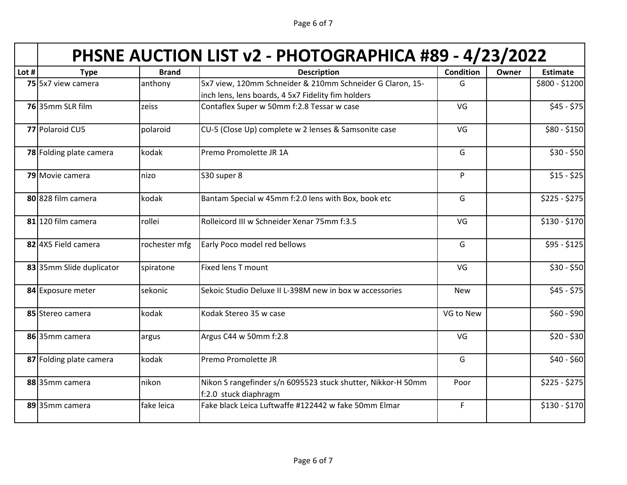Page 6 of 7

|       | PHSNE AUCTION LIST v2 - PHOTOGRAPHICA #89 - 4/23/2022 |               |                                                                                                                 |                  |       |                 |  |  |
|-------|-------------------------------------------------------|---------------|-----------------------------------------------------------------------------------------------------------------|------------------|-------|-----------------|--|--|
| Lot # | <b>Type</b>                                           | <b>Brand</b>  | <b>Description</b>                                                                                              | <b>Condition</b> | Owner | <b>Estimate</b> |  |  |
|       | 75 5x7 view camera                                    | anthony       | 5x7 view, 120mm Schneider & 210mm Schneider G Claron, 15-<br>inch lens, lens boards, 4 5x7 Fidelity fim holders | G                |       | \$800 - \$1200  |  |  |
|       | 7635mm SLR film                                       | zeiss         | Contaflex Super w 50mm f:2.8 Tessar w case                                                                      | VG               |       | $$45 - $75$     |  |  |
|       | 77 Polaroid CU5                                       | polaroid      | CU-5 (Close Up) complete w 2 lenses & Samsonite case                                                            | VG               |       | $$80 - $150$    |  |  |
|       | 78 Folding plate camera                               | kodak         | Premo Promolette JR 1A                                                                                          | G                |       | $$30 - $50$     |  |  |
|       | 79 Movie camera                                       | nizo          | S30 super 8                                                                                                     | $\mathsf{P}$     |       | $$15 - $25$     |  |  |
|       | 80 828 film camera                                    | kodak         | Bantam Special w 45mm f:2.0 lens with Box, book etc                                                             | G                |       | $$225 - $275$   |  |  |
|       | 81 120 film camera                                    | rollei        | Rolleicord III w Schneider Xenar 75mm f:3.5                                                                     | VG               |       | $$130 - $170$   |  |  |
|       | 82 4X5 Field camera                                   | rochester mfg | Early Poco model red bellows                                                                                    | G                |       | $$95 - $125$    |  |  |
|       | 83 35mm Slide duplicator                              | spiratone     | Fixed lens T mount                                                                                              | VG               |       | $$30 - $50$     |  |  |
|       | 84 Exposure meter                                     | sekonic       | Sekoic Studio Deluxe II L-398M new in box w accessories                                                         | <b>New</b>       |       | $$45 - $75$     |  |  |
|       | 85 Stereo camera                                      | kodak         | Kodak Stereo 35 w case                                                                                          | VG to New        |       | $$60 - $90$     |  |  |
|       | 86 35mm camera                                        | argus         | Argus C44 w 50mm f:2.8                                                                                          | VG               |       | $$20 - $30$     |  |  |
|       | 87 Folding plate camera                               | kodak         | Premo Promolette JR                                                                                             | G                |       | $$40 - $60$     |  |  |
|       | 88 35mm camera                                        | nikon         | Nikon S rangefinder s/n 6095523 stuck shutter, Nikkor-H 50mm<br>f:2.0 stuck diaphragm                           | Poor             |       | $$225 - $275$   |  |  |
|       | 89 35mm camera                                        | fake leica    | Fake black Leica Luftwaffe #122442 w fake 50mm Elmar                                                            | F.               |       | $$130 - $170$   |  |  |